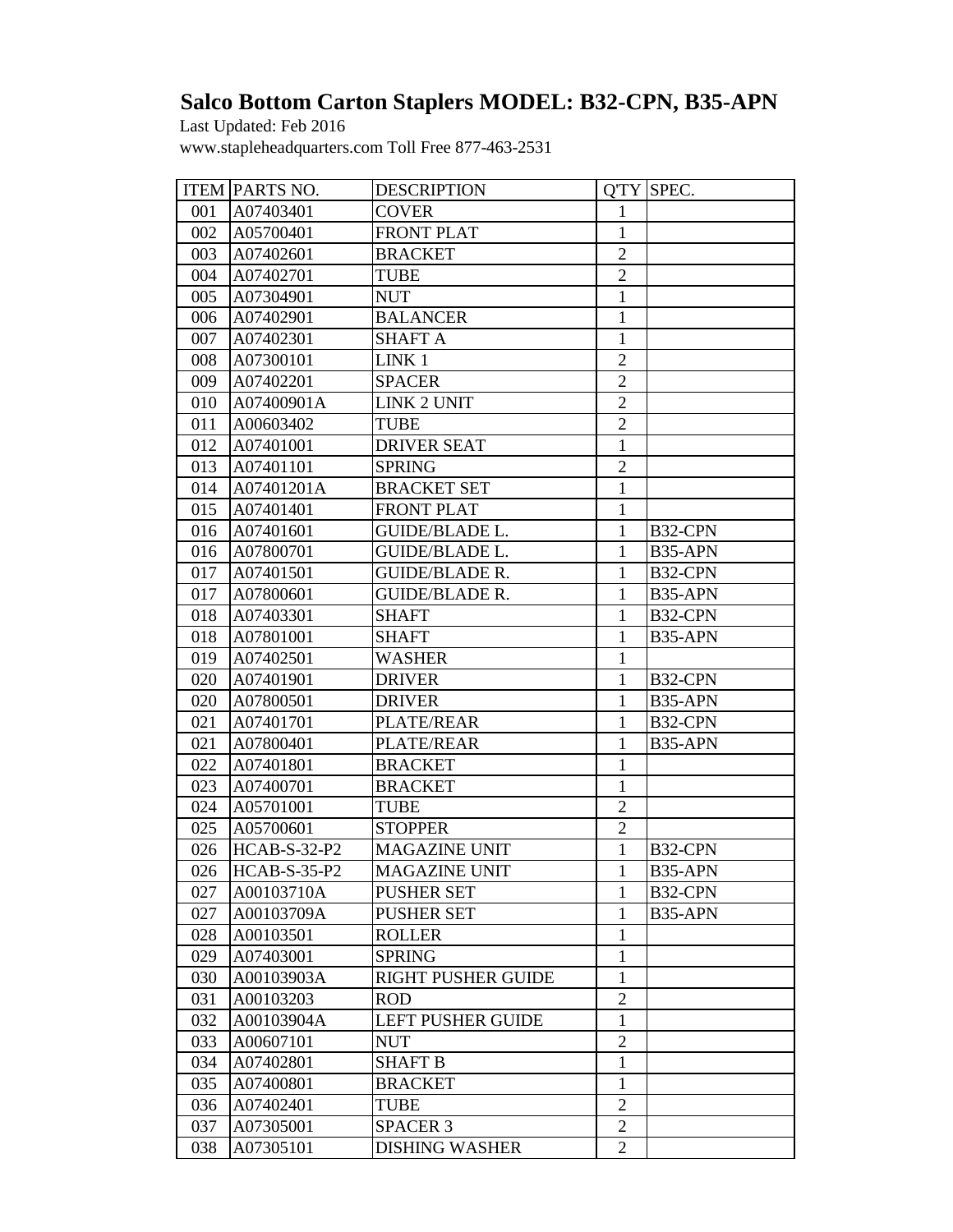## **Salco Bottom Carton Staplers MODEL: B32-CPN, B35-APN**

Last Updated: Feb 2016 www.stapleheadquarters.com Toll Free 877-463-2531

|     | <b>ITEM PARTS NO.</b> | <b>DESCRIPTION</b>        |                | Q'TY SPEC. |
|-----|-----------------------|---------------------------|----------------|------------|
| 001 | A07403401             | <b>COVER</b>              | 1              |            |
| 002 | A05700401             | <b>FRONT PLAT</b>         | $\mathbf{1}$   |            |
| 003 | A07402601             | <b>BRACKET</b>            | $\overline{2}$ |            |
| 004 | A07402701             | <b>TUBE</b>               | $\overline{2}$ |            |
| 005 | A07304901             | <b>NUT</b>                | $\mathbf{1}$   |            |
| 006 | A07402901             | <b>BALANCER</b>           | 1              |            |
| 007 | A07402301             | <b>SHAFT A</b>            | $\mathbf{1}$   |            |
| 008 | A07300101             | LINK 1                    | $\overline{2}$ |            |
| 009 | A07402201             | <b>SPACER</b>             | $\overline{2}$ |            |
| 010 | A07400901A            | <b>LINK 2 UNIT</b>        | $\mathbf{2}$   |            |
| 011 | A00603402             | TUBE                      | $\overline{2}$ |            |
| 012 | A07401001             | <b>DRIVER SEAT</b>        | $\mathbf{1}$   |            |
| 013 | A07401101             | <b>SPRING</b>             | $\overline{2}$ |            |
| 014 | A07401201A            | <b>BRACKET SET</b>        | $\mathbf{1}$   |            |
| 015 | A07401401             | <b>FRONT PLAT</b>         | 1              |            |
| 016 | A07401601             | <b>GUIDE/BLADE L.</b>     | 1              | B32-CPN    |
| 016 | A07800701             | <b>GUIDE/BLADE L.</b>     | 1              | B35-APN    |
| 017 | A07401501             | <b>GUIDE/BLADE R.</b>     | 1              | B32-CPN    |
| 017 | A07800601             | <b>GUIDE/BLADE R.</b>     | 1              | B35-APN    |
| 018 | A07403301             | <b>SHAFT</b>              | $\mathbf{1}$   | B32-CPN    |
| 018 | A07801001             | <b>SHAFT</b>              | $\mathbf{1}$   | B35-APN    |
| 019 | A07402501             | WASHER                    | 1              |            |
| 020 | A07401901             | <b>DRIVER</b>             | 1              | B32-CPN    |
| 020 | A07800501             | <b>DRIVER</b>             | 1              | B35-APN    |
| 021 | A07401701             | PLATE/REAR                | 1              | B32-CPN    |
| 021 | A07800401             | <b>PLATE/REAR</b>         | 1              | B35-APN    |
| 022 | A07401801             | <b>BRACKET</b>            | $\mathbf{1}$   |            |
| 023 | A07400701             | <b>BRACKET</b>            | $\mathbf{1}$   |            |
| 024 | A05701001             | <b>TUBE</b>               | $\overline{2}$ |            |
| 025 | A05700601             | <b>STOPPER</b>            | $\overline{2}$ |            |
| 026 | <b>HCAB-S-32-P2</b>   | <b>MAGAZINE UNIT</b>      | 1              | B32-CPN    |
| 026 | <b>HCAB-S-35-P2</b>   | <b>MAGAZINE UNIT</b>      | 1              | B35-APN    |
| 027 | A00103710A            | <b>PUSHER SET</b>         | 1              | B32-CPN    |
| 027 | A00103709A            | <b>PUSHER SET</b>         | $\mathbf{1}$   | B35-APN    |
| 028 | A00103501             | <b>ROLLER</b>             | $\mathbf{1}$   |            |
| 029 | A07403001             | <b>SPRING</b>             | $\mathbf{1}$   |            |
| 030 | A00103903A            | <b>RIGHT PUSHER GUIDE</b> | $\mathbf{1}$   |            |
| 031 | A00103203             | <b>ROD</b>                | $\overline{2}$ |            |
| 032 | A00103904A            | LEFT PUSHER GUIDE         | $\mathbf{1}$   |            |
| 033 | A00607101             | <b>NUT</b>                | $\overline{2}$ |            |
| 034 | A07402801             | <b>SHAFT B</b>            | 1              |            |
| 035 | A07400801             | <b>BRACKET</b>            | $\mathbf{1}$   |            |
| 036 | A07402401             | TUBE                      | $\overline{2}$ |            |
| 037 | A07305001             | <b>SPACER 3</b>           | $\overline{2}$ |            |
| 038 | A07305101             | <b>DISHING WASHER</b>     | $\overline{2}$ |            |